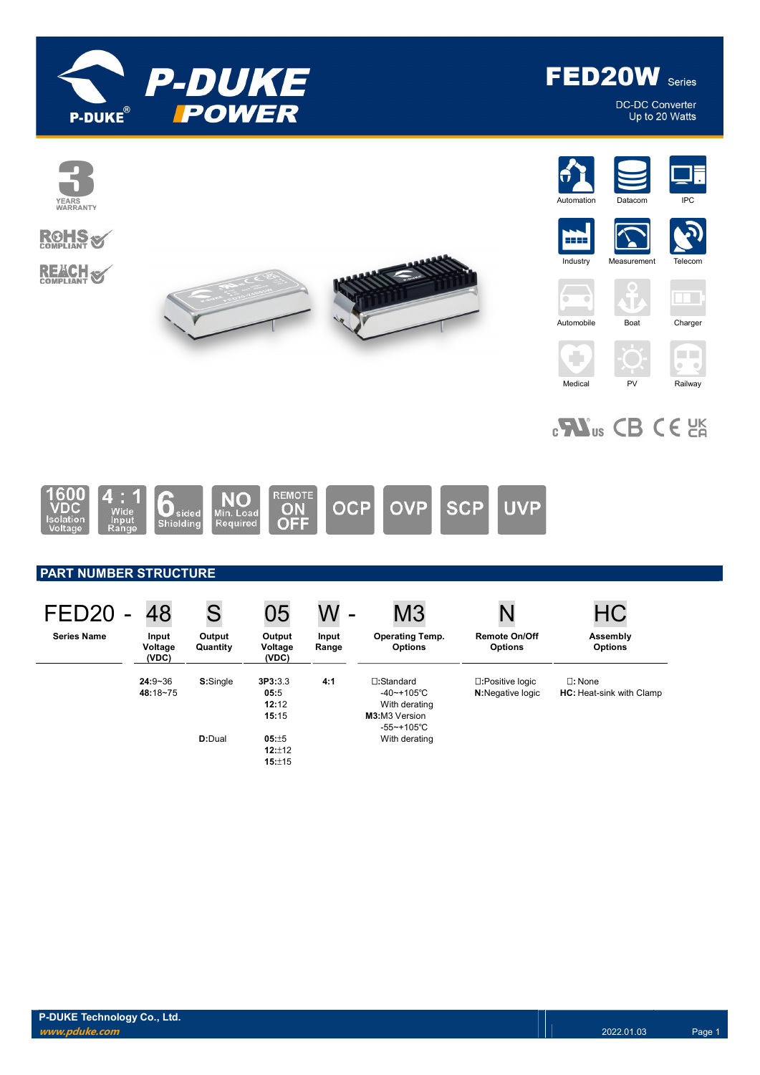

DC-DC Converter<br>Up to 20 Watts



# $_{c}$ Nus CB CE  $_{c}$



### PART NUMBER STRUCTURE

| FED <sub>20</sub>  | 48                        | S                  | 05                                | $\blacksquare$ | M <sub>3</sub>                                                                 |                                              | НC                                                  |
|--------------------|---------------------------|--------------------|-----------------------------------|----------------|--------------------------------------------------------------------------------|----------------------------------------------|-----------------------------------------------------|
| <b>Series Name</b> | Input<br>Voltage<br>(VDC) | Output<br>Quantity | Output<br>Voltage<br>(VDC)        | Input<br>Range | <b>Operating Temp.</b><br><b>Options</b>                                       | <b>Remote On/Off</b><br><b>Options</b>       | Assembly<br><b>Options</b>                          |
|                    | $24:9 - 36$<br>48:18~75   | S:Single           | 3P3:3.3<br>05:5<br>12:12<br>15:15 | 4:1            | □:Standard<br>$-40$ ~+105°C<br>With derating<br>M3:M3 Version<br>$-55$ ~+105°C | □:Positive logic<br><b>N:</b> Negative logic | $\square$ : None<br><b>HC:</b> Heat-sink with Clamp |
|                    |                           | D:Dual             | 05:±5<br>12:±12<br>15:±15         |                | With derating                                                                  |                                              |                                                     |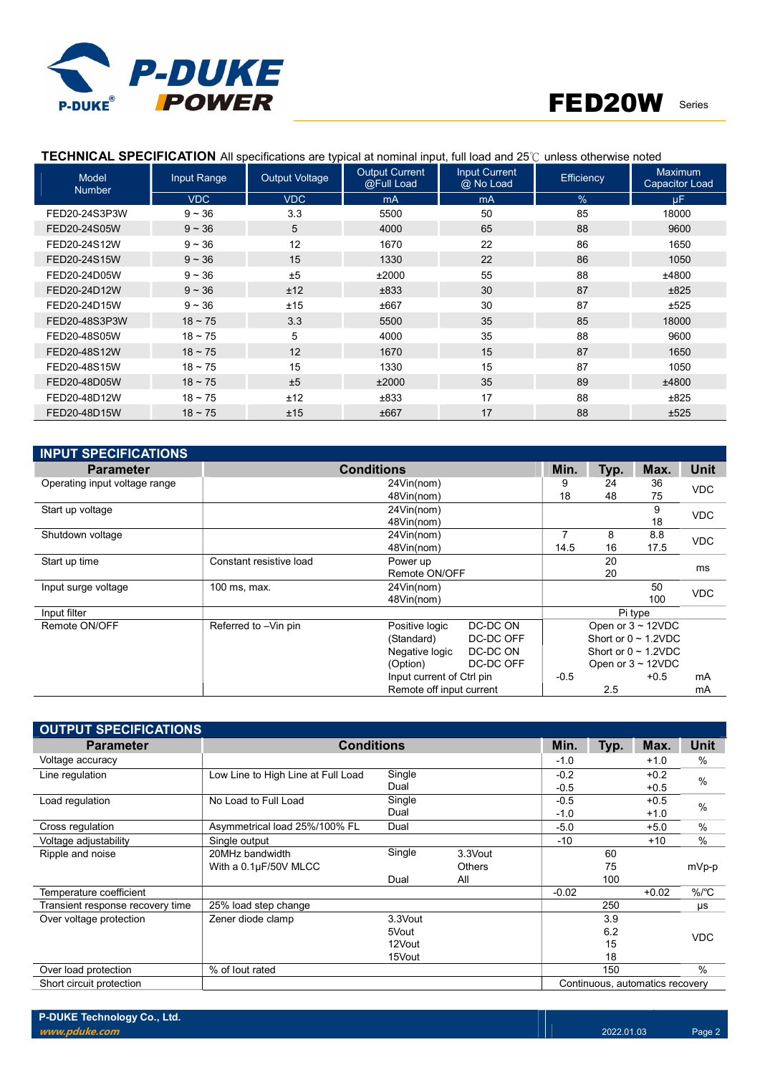

### TECHNICAL SPECIFICATION All specifications are typical at nominal input, full load and 25℃ unless otherwise noted

| Input Range<br>Model<br><b>Number</b> |            | <b>Output Voltage</b> | <b>Output Current</b><br>@Full Load | <b>Input Current</b><br>@ No Load | Efficiency | Maximum<br><b>Capacitor Load</b> |
|---------------------------------------|------------|-----------------------|-------------------------------------|-----------------------------------|------------|----------------------------------|
|                                       | <b>VDC</b> | <b>VDC</b>            | <b>mA</b>                           | mA                                | $\%$       | uF.                              |
| FED20-24S3P3W                         | $9 - 36$   | 3.3                   | 5500                                | 50                                | 85         | 18000                            |
| FED20-24S05W                          | $9 - 36$   | 5                     | 4000                                | 65                                | 88         | 9600                             |
| FED20-24S12W                          | $9 - 36$   | 12                    | 1670                                | 22                                | 86         | 1650                             |
| FED20-24S15W                          | $9 - 36$   | 15                    | 1330                                | 22                                | 86         | 1050                             |
| FED20-24D05W                          | $9 - 36$   | ±5                    | ±2000                               | 55                                | 88         | ±4800                            |
| FED20-24D12W                          | $9 - 36$   | ±12                   | ±833                                | 30                                | 87         | ±825                             |
| FED20-24D15W                          | $9 - 36$   | ±15                   | ±667                                | 30                                | 87         | ±525                             |
| FED20-48S3P3W                         | $18 - 75$  | 3.3                   | 5500                                | 35                                | 85         | 18000                            |
| FED20-48S05W                          | $18 - 75$  | 5                     | 4000                                | 35                                | 88         | 9600                             |
| FED20-48S12W                          | $18 - 75$  | 12                    | 1670                                | 15                                | 87         | 1650                             |
| FED20-48S15W                          | $18 - 75$  | 15                    | 1330                                | 15                                | 87         | 1050                             |
| FED20-48D05W                          | $18 - 75$  | ±5                    | ±2000                               | 35                                | 89         | ±4800                            |
| FED20-48D12W                          | $18 - 75$  | ±12                   | ±833                                | 17                                | 88         | ±825                             |
| FED20-48D15W                          | $18 - 75$  | ±15                   | ±667                                | 17                                | 88         | ±525                             |

| <b>INPUT SPECIFICATIONS</b>   |                         |                           |               |        |             |                           |            |
|-------------------------------|-------------------------|---------------------------|---------------|--------|-------------|---------------------------|------------|
| <b>Parameter</b>              |                         | Min.                      | Typ.          | Max.   | <b>Unit</b> |                           |            |
| Operating input voltage range |                         | 24Vin(nom)                |               | 9      | 24          | 36                        | <b>VDC</b> |
|                               |                         | 48Vin(nom)                |               | 18     | 48          | 75                        |            |
| Start up voltage              |                         | 24Vin(nom)                |               |        |             | 9                         | <b>VDC</b> |
|                               |                         |                           |               | 18     |             |                           |            |
| Shutdown voltage              |                         | 24Vin(nom)                |               |        | 8           | 8.8                       | <b>VDC</b> |
|                               |                         | 48Vin(nom)                |               | 14.5   | 16          | 17.5                      |            |
| Start up time                 | Constant resistive load | Power up                  |               |        |             |                           | ms         |
|                               |                         |                           | Remote ON/OFF |        |             |                           |            |
| Input surge voltage           | 100 ms, max.            | 24Vin(nom)                |               |        |             | 50                        | <b>VDC</b> |
|                               |                         | 48Vin(nom)                |               |        |             | 100                       |            |
| Input filter                  |                         |                           |               |        |             | Pi type                   |            |
| Remote ON/OFF                 | Referred to -Vin pin    | Positive logic            | DC-DC ON      |        |             | Open or $3 \sim 12$ VDC   |            |
|                               |                         | (Standard)                | DC-DC OFF     |        |             | Short or $0 \sim 1.2$ VDC |            |
|                               |                         | Negative logic            | DC-DC ON      |        |             | Short or $0 \sim 1.2$ VDC |            |
|                               |                         | (Option)                  | DC-DC OFF     |        |             | Open or $3 \sim 12$ VDC   |            |
|                               |                         | Input current of Ctrl pin |               | $-0.5$ |             | $+0.5$                    | mA         |
|                               |                         | Remote off input current  |               |        | 2.5         |                           | mA         |

| <b>OUTPUT SPECIFICATIONS</b>     |                                    |         |         |         |             |                                 |               |
|----------------------------------|------------------------------------|---------|---------|---------|-------------|---------------------------------|---------------|
| <b>Parameter</b>                 | <b>Conditions</b>                  | Min.    | Typ.    | Max.    | <b>Unit</b> |                                 |               |
| Voltage accuracy                 |                                    |         |         | $-1.0$  |             | $+1.0$                          | $\%$          |
| Line regulation                  | Low Line to High Line at Full Load | Single  |         | $-0.2$  |             | $+0.2$                          | $\frac{0}{0}$ |
|                                  |                                    | Dual    |         | $-0.5$  |             | $+0.5$                          |               |
| Load regulation                  | No Load to Full Load               | Single  |         | $-0.5$  |             | $+0.5$                          | $\frac{0}{0}$ |
|                                  |                                    | Dual    | $-1.0$  |         | $+1.0$      |                                 |               |
| Cross regulation                 | Asymmetrical load 25%/100% FL      | Dual    |         | $-5.0$  |             | $+5.0$                          | $\frac{0}{0}$ |
| Voltage adjustability            | Single output                      |         |         | $-10$   |             | $+10$                           | $\frac{0}{0}$ |
| Ripple and noise                 | 20MHz bandwidth                    | Single  | 3.3Vout |         | 60          |                                 |               |
|                                  | With a 0.1µF/50V MLCC              |         | Others  |         | 75          |                                 | mVp-p         |
|                                  |                                    | Dual    | All     |         | 100         |                                 |               |
| Temperature coefficient          |                                    |         |         | $-0.02$ |             | $+0.02$                         | $\%$ /°C      |
| Transient response recovery time | 25% load step change               |         |         |         | 250         |                                 | μs            |
| Over voltage protection          | Zener diode clamp                  | 3.3Vout |         |         | 3.9         |                                 |               |
|                                  |                                    | 5Vout   |         |         | 6.2         |                                 | <b>VDC</b>    |
|                                  |                                    | 12Vout  |         |         | 15          |                                 |               |
|                                  |                                    | 15Vout  |         |         | 18          |                                 |               |
| Over load protection             | % of lout rated                    |         |         |         | 150         |                                 | $\frac{0}{0}$ |
| Short circuit protection         |                                    |         |         |         |             | Continuous, automatics recovery |               |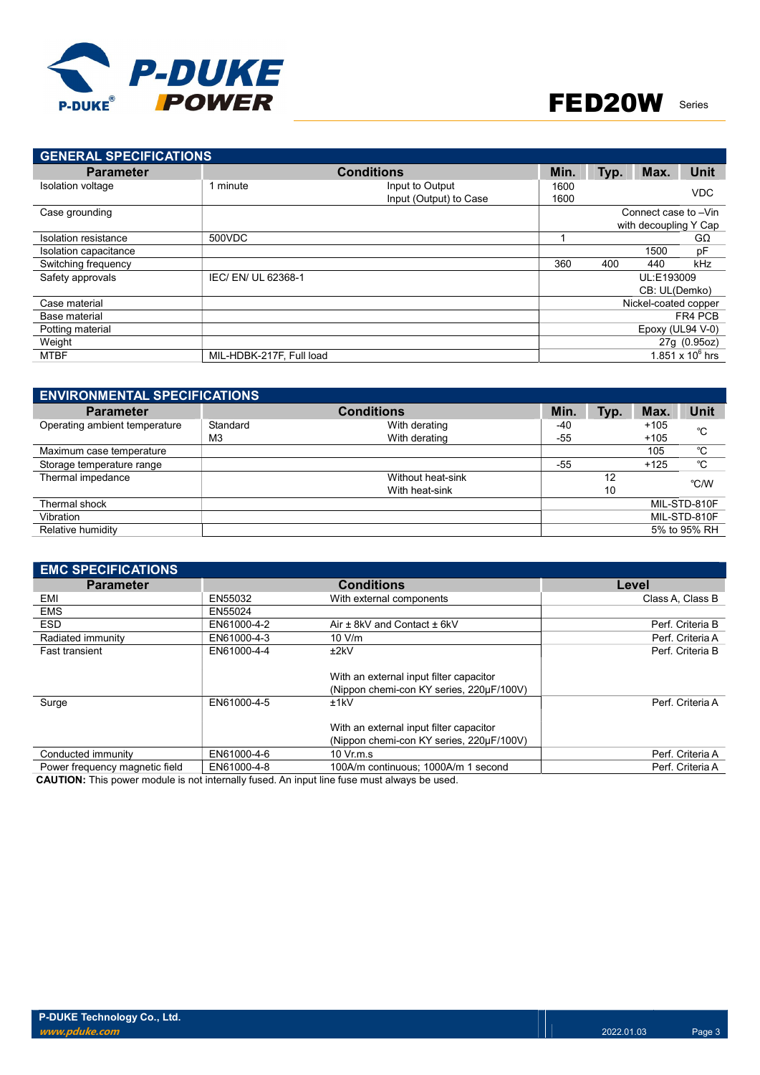

| <b>GENERAL SPECIFICATIONS</b> |                          |                        |      |      |                       |                    |
|-------------------------------|--------------------------|------------------------|------|------|-----------------------|--------------------|
| <b>Parameter</b>              | <b>Conditions</b>        | Min.                   | Typ. | Max. | <b>Unit</b>           |                    |
| Isolation voltage             | 1 minute                 | Input to Output        | 1600 |      |                       | <b>VDC</b>         |
|                               |                          | Input (Output) to Case | 1600 |      |                       |                    |
| Case grounding                |                          |                        |      |      | Connect case to -Vin  |                    |
|                               |                          |                        |      |      | with decoupling Y Cap |                    |
| Isolation resistance          | 500VDC                   |                        |      |      |                       | $G\Omega$          |
| Isolation capacitance         |                          |                        |      |      | 1500                  | рF                 |
| Switching frequency           |                          |                        | 360  | 400  | 440                   | kHz                |
| Safety approvals              | IEC/ EN/ UL 62368-1      |                        |      |      | UL:E193009            |                    |
|                               |                          |                        |      |      | CB: UL(Demko)         |                    |
| Case material                 |                          |                        |      |      | Nickel-coated copper  |                    |
| Base material                 |                          |                        |      |      |                       | FR4 PCB            |
| Potting material              |                          |                        |      |      | Epoxy (UL94 V-0)      |                    |
| Weight                        |                          |                        |      |      |                       | 27g (0.95oz)       |
| MTBF                          | MIL-HDBK-217F, Full load |                        |      |      |                       | 1.851 x $10^6$ hrs |

| <b>ENVIRONMENTAL SPECIFICATIONS</b> |                |                   |       |      |        |              |  |  |  |  |
|-------------------------------------|----------------|-------------------|-------|------|--------|--------------|--|--|--|--|
| <b>Parameter</b>                    |                | <b>Conditions</b> | Min.  | Typ. | Max.   | Unit         |  |  |  |  |
| Operating ambient temperature       | Standard       | With derating     | -40   |      | $+105$ | °C           |  |  |  |  |
|                                     | M <sub>3</sub> | With derating     | -55   |      | $+105$ |              |  |  |  |  |
| Maximum case temperature            |                |                   |       |      | 105    | °C           |  |  |  |  |
| Storage temperature range           |                |                   | $-55$ |      | $+125$ | °C           |  |  |  |  |
| Thermal impedance                   |                | Without heat-sink |       | 12   |        | °C/W         |  |  |  |  |
|                                     |                | With heat-sink    |       | 10   |        |              |  |  |  |  |
| Thermal shock                       |                |                   |       |      |        | MIL-STD-810F |  |  |  |  |
| Vibration                           |                |                   |       |      |        | MIL-STD-810F |  |  |  |  |
| Relative humidity                   |                |                   |       |      |        | 5% to 95% RH |  |  |  |  |

| <b>EMC SPECIFICATIONS</b>      |             |                                          |                  |
|--------------------------------|-------------|------------------------------------------|------------------|
| <b>Parameter</b>               |             | <b>Conditions</b>                        | Level            |
| EMI                            | EN55032     | With external components                 | Class A, Class B |
| <b>EMS</b>                     | EN55024     |                                          |                  |
| <b>ESD</b>                     | EN61000-4-2 | Air ± 8kV and Contact ± 6kV              | Perf. Criteria B |
| Radiated immunity              | EN61000-4-3 | 10 V/m                                   | Perf. Criteria A |
| <b>Fast transient</b>          | EN61000-4-4 | ±2kV                                     | Perf. Criteria B |
|                                |             |                                          |                  |
|                                |             | With an external input filter capacitor  |                  |
|                                |             | (Nippon chemi-con KY series, 220uF/100V) |                  |
| Surge                          | EN61000-4-5 | ±1kV                                     | Perf. Criteria A |
|                                |             |                                          |                  |
|                                |             | With an external input filter capacitor  |                  |
|                                |             | (Nippon chemi-con KY series, 220µF/100V) |                  |
| Conducted immunity             | EN61000-4-6 | $10 \,$ Vr.m.s.                          | Perf. Criteria A |
| Power frequency magnetic field | EN61000-4-8 | 100A/m continuous: 1000A/m 1 second      | Perf. Criteria A |
|                                |             |                                          |                  |

CAUTION: This power module is not internally fused. An input line fuse must always be used.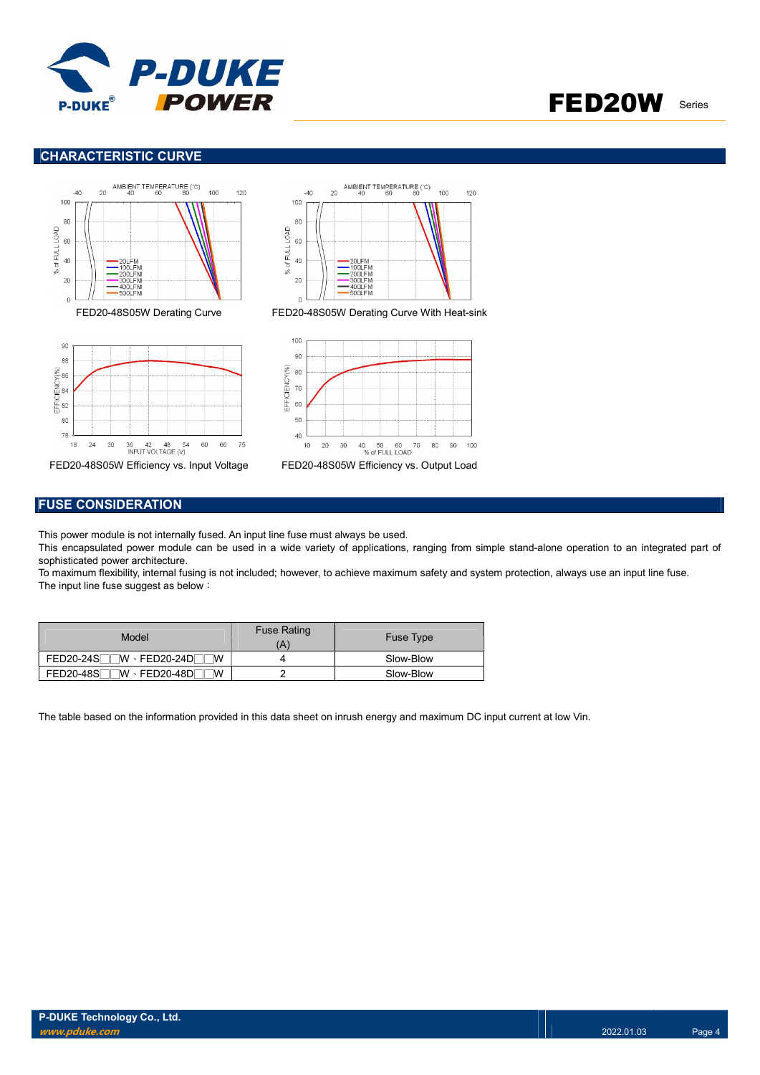

#### CHARACTERISTIC CURVE







#### FUSE CONSIDERATION

This power module is not internally fused. An input line fuse must always be used.

This encapsulated power module can be used in a wide variety of applications, ranging from simple stand-alone operation to an integrated part of sophisticated power architecture.

To maximum flexibility, internal fusing is not included; however, to achieve maximum safety and system protection, always use an input line fuse. The input line fuse suggest as below:

| Model                                | <b>Fuse Rating</b> | <b>Fuse Type</b> |
|--------------------------------------|--------------------|------------------|
| $FED20-24S$ W $\cdot$ FED20-24D<br>W |                    | Slow-Blow        |
| $FED20-48S$ W $\cdot$ FED20-48D<br>W |                    | Slow-Blow        |

The table based on the information provided in this data sheet on inrush energy and maximum DC input current at low Vin.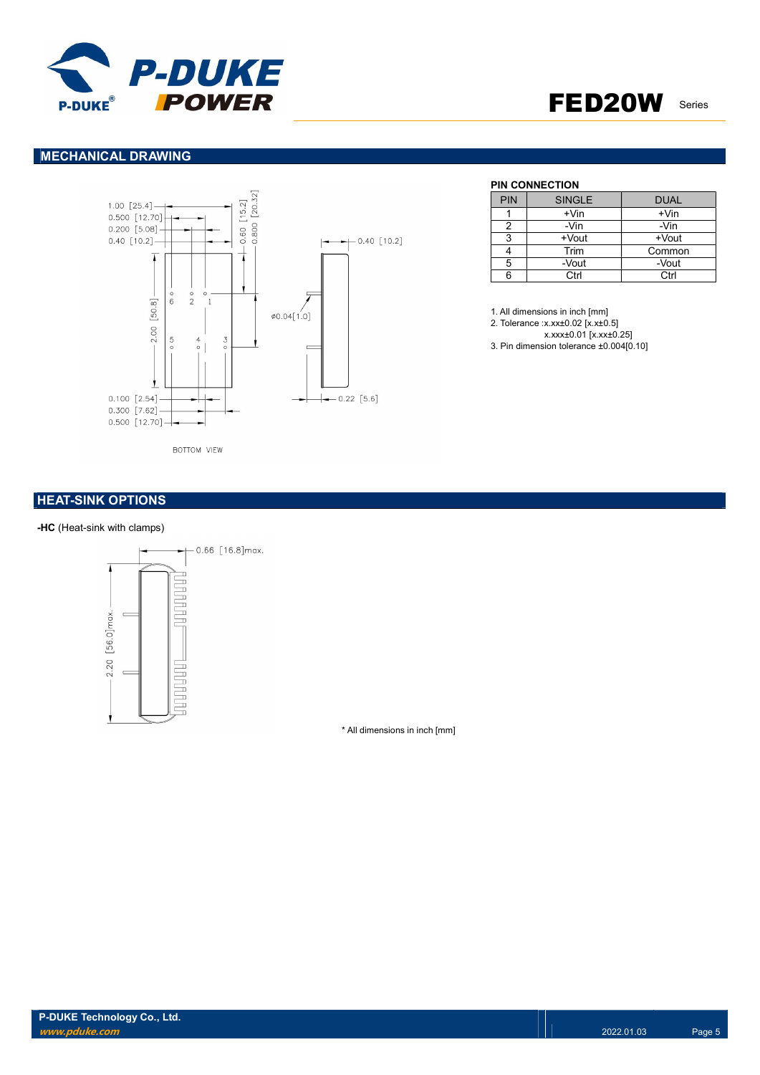

#### MECHANICAL DRAWING



### PIN CONNECTION

| <b>PIN</b> | <b>SINGLE</b> | <b>DUAL</b> |
|------------|---------------|-------------|
|            | $+V$ in       | $+V$ in     |
|            | -Vin          | -Vin        |
| 3          | +Vout         | +Vout       |
|            | Trim          | Common      |
| 5          | -Vout         | -Vout       |
|            | Ctrl          | Ctrl        |

1. All dimensions in inch [mm]

2. Tolerance :x.xx±0.02 [x.x±0.5]

x.xxx±0.01 [x.xx±0.25]

3. Pin dimension tolerance ±0.004[0.10]

#### **HEAT-SINK OPTIONS**

#### -HC (Heat-sink with clamps)



\* All dimensions in inch [mm]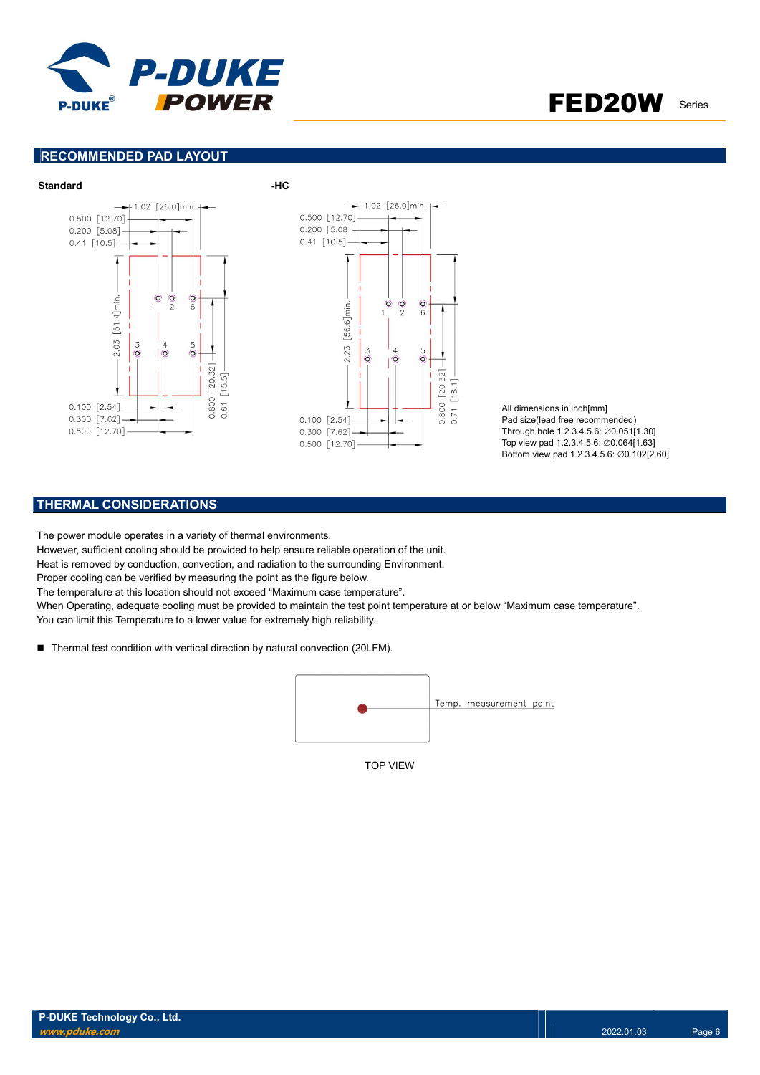

#### RECOMMENDED PAD LAYOUT



All dimensions in inch[mm] Pad size(lead free recommended) Through hole 1.2.3.4.5.6: ∅0.051[1.30] Top view pad 1.2.3.4.5.6: ∅0.064[1.63] Bottom view pad 1.2.3.4.5.6: ∅0.102[2.60]

#### THERMAL CONSIDERATIONS

The power module operates in a variety of thermal environments.

However, sufficient cooling should be provided to help ensure reliable operation of the unit.

Heat is removed by conduction, convection, and radiation to the surrounding Environment.

Proper cooling can be verified by measuring the point as the figure below.

The temperature at this location should not exceed "Maximum case temperature".

When Operating, adequate cooling must be provided to maintain the test point temperature at or below "Maximum case temperature". You can limit this Temperature to a lower value for extremely high reliability.

■ Thermal test condition with vertical direction by natural convection (20LFM).



TOP VIEW